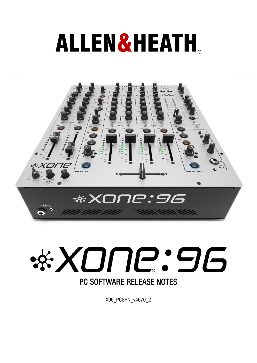# ALLEN&HEATH**®**





X96\_PCSRN\_v4670\_2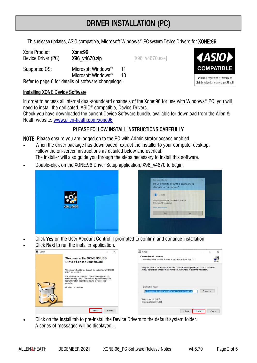# DRIVER INSTALLATION (PC)

This release updates, ASIO compatible, Microsoft Windows® PC system Device Drivers for **XONE:96** 

Xone Product Xone:96 Device Driver (PC) X96\_v4670.zip [X96\_v4670.exe]

Supported OS: Microsoft Windows<sup>®</sup> 11 Microsoft Windows® 10

Refer to page 6 for details of software changelogs.

## Installing XONE Device Software

In order to access all internal dual-soundcard channels of the Xone:96 for use with Windows® PC, you will need to install the dedicated, ASIO® compatible, Device Drivers.

Check you have downloaded the current Device Software bundle, available for download from the Allen & Heath website: [www.allen-heath.com/xone96](http://www.allen-heath.com/ahproducts/xone96/#tab5)

## PLEASE FOLLOW INSTALL INSTRUCTIONS CAREFULLY

NOTE: Please ensure you are logged on to the PC with Administrator access enabled

- When the driver package has downloaded, extract the installer to your computer desktop. Follow the on-screen instructions as detailed below and overleaf.
	- The installer will also quide you through the steps necessary to install this software.
- Double-click on the XONE:96 Driver Setup application, X96\_v4670 to begin.





- Click Yes on the User Account Control if prompted to confirm and continue installation.
- Click Next to run the installer application.



Click on the **Install** tab to pre-install the Device Drivers to the default system folder. A series of messages will be displayed…

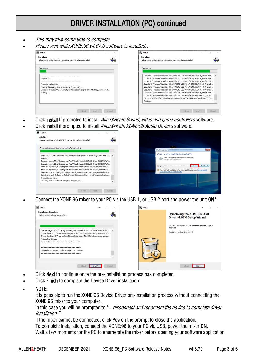# DRIVER INSTALLATION (PC) continued

- This may take some time to complete.
- Please wait while XONE:96 v4.67.0 software is installed…



- Click Install If promoted to install *Allen&Heath Sound, video and game controllers* software.
- Click Install if prompted to install Allen&Heath XONE:96 Audio Devices software.



• Connect the XONE:96 mixer to your PC via the USB 1, or USB 2 port and power the unit ON\*.



- Click **Next** to continue once the pre-installation process has completed.
- Click Finish to complete the Device Driver installation.
- NOTE:

It is possible to run the XONE:96 Device Driver pre-installation process without connecting the XONE:96 mixer to your computer.

In this case you will be prompted to "... disconnect and reconnect the device to complete driver installation."

If the mixer cannot be connected, click Yes on the prompt to close the application.

To complete installation, connect the XONE:96 to your PC via USB, power the mixer ON.

Wait a few moments for the PC to enumerate the mixer before opening your software application.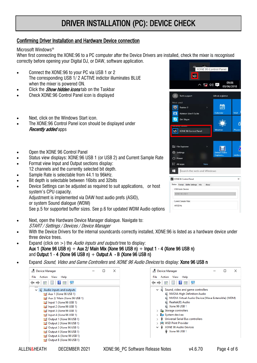# DRIVER INSTALLATION (PC): DEVICE CHECK

#### Confirming Driver Installation and Hardware Device connection

#### Microsoft Windows®

When first connecting the XONE:96 to a PC computer after the Device Drivers are installed, check the mixer is recognised correctly before opening your Digital DJ, or DAW, software application.

- Connect the XONE:96 to your PC via USB 1 or 2 The corresponding USB 1/ 2 ACTIVE indictor illuminates BLUE when the mixer is powered ON.
- Click the *Show hidden icons* tab on the Taskbar
- Check XONE:96 Control Panel icon is displayed
- Next, click on the Windows Start icon.
- The XONE:96 Control Panel icon should be displayed under **Recently added apps**
- Open the XONE 96 Control Panel
- Status view displays: XONE:96 USB 1 (or USB 2) and Current Sample Rate
- Format view Input and Output sections display:
- 12 channels and the currently selected bit depth.
- Sample Rate is selectable from 44.1 to 96kHz.
- Bit depth is selectable between 16bits and 32bits
- Device Settings can be adjusted as required to suit applications, or host system's CPU capacity. Adjustment is implemented via DAW host audio prefs (ASIO), or system Sound dialogue (WDM) See p.5 for supported buffer sizes. See p.6 for updated WDM Audio options
- Next, open the Hardware Device Manager dialogue. Navigate to: START / Settings / Devices / Device Manager
- With the Device Drivers for the internal soundcards correctly installed, XONE:96 is listed as a hardware device under three device trees.
- Expand (click on  $>$ ) the *Audio inputs and outputs* tree to display: Aux 1 (Xone 96 USB n) + Aux 2/ Main Mix (Xone 96 USB n) + Input 1 - 4 (Xone 96 USB n) and Output 1 - 4 (Xone 96 USB n)  $+$  Output A - B (Xone 96 USB n)
- Expand *Sound, Video and Game Controllers* and *XONE 96 Audio Devices* to display: **Xone 96 USB n**





|                                             | a.K.   | XONE 96 Control Panel         |                     |
|---------------------------------------------|--------|-------------------------------|---------------------|
| 除                                           |        |                               |                     |
|                                             | 【x ① 早 |                               | 09:06<br>09/06/2018 |
| $\mathcal{R}$<br>Tech support               |        | Life at a glance              |                     |
| Most used                                   |        |                               |                     |
| $\odot$<br>Traktor 2                        | ×      |                               |                     |
| 盯<br><b>Ableton Live 9 Suite</b>            |        | Calendar                      | <b>Mail</b>         |
| <b>S</b><br>Get Skype                       |        |                               | ń                   |
| y auaea<br>XONE 96 Control Panel<br>-9.     |        | Weather                       | Phone <sup>(</sup>  |
| File Explorer<br>Settings<br><b>C</b> Pawer | ×      | <b>Debut Video</b><br>Capture | midisco             |
| E All apps                                  | New    |                               |                     |
| Search the web and Windows                  |        |                               |                     |
| XONE 96 Control Panel                       |        |                               | $\times$            |
| Status Format Buffer Settings Info          | About  |                               |                     |
| <b>USB Audio Device</b>                     |        |                               |                     |
| XONE 96 USB 1                               |        |                               |                     |
|                                             |        |                               |                     |
| Current Sample Rate                         |        |                               |                     |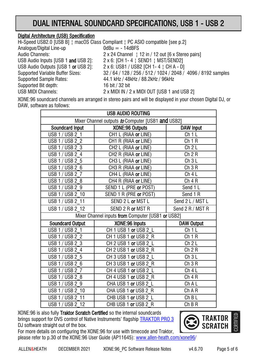# DUAL INTERNAL SOUNDCARD SPECIFICATIONS, USB 1 - USB 2

### Digital Architecture (USB) Specification

Hi-Speed USB2.0 [USB B] ¦ macOS Class Compliant ¦ PC ASIO compatible [see p.2] Analogue/Digital Line-up  $0$ dBu = - 14dBFS Audio Channels: 2 x 24 Channel | 12 in / 12 out [6 x Stereo pairs] USB Audio Inputs [USB 1 and USB 2]: 2 x 6: [CH 1-4 | SEND1 | MST/SEND2] USB Audio Outputs [USB 1 or USB 2]: 2 x 6: USB1 / USB2 [CH 1-4 | CH A - D] Supported Variable Buffer Sizes: 32 / 64 / 128 / 256 / 512 / 1024 / 2048 / 4096 / 8192 samples Supported Sample Rates: 44.1 kHz / 48kHz / 88.2kHz / 96kHz Supported Bit depth: 16 bit / 32 bit USB MIDI Channels: 2 x MIDI IN / 2 x MIDI OUT [USB 1 and USB 2]

XONE:96 soundcard channels are arranged in stereo pairs and will be displayed in your chosen Digital DJ, or DAW, software as follows:

|                                                   | <b>USB AUDIO ROUTING</b>         |                   |  |  |  |
|---------------------------------------------------|----------------------------------|-------------------|--|--|--|
| Mixer Channel outputs to Computer [USB1 and USB2] |                                  |                   |  |  |  |
| <b>Soundcard Input</b>                            | <b>XONE:96 Outputs</b>           | <b>DAW Input</b>  |  |  |  |
| USB 1 / USB 2 1                                   | CH1 L (RIAA or LINE)             | Ch1L              |  |  |  |
| <b>USB 1/ USB 2 2</b>                             | CH1 R (RIAA or LINE)             | Ch1R              |  |  |  |
| USB 1 / USB 2 3                                   | CH2 L (RIAA or LINE)             | Ch 2L             |  |  |  |
| USB $1 /$ USB $\overline{2}$ 4                    | CH <sub>2</sub> R (RIAA or LINE) | Ch 2 R            |  |  |  |
| USB 1 / USB 2 5                                   | CH3 L (RIAA or LINE)             | Ch3L              |  |  |  |
| USB 1 / USB 2 6                                   | CH3 R (RIAA or LINE)             | Ch 3 R            |  |  |  |
| USB 1 / USB 2 7                                   | CH4 L (RIAA or LINE)             | Ch4L              |  |  |  |
| USB 1 / USB 2 8                                   | CH4 R (RIAA or LINE)             | Ch 4 R            |  |  |  |
| USB 1 / USB 2 9                                   | SEND 1 L (PRE or POST)           | Send 1 L          |  |  |  |
| USB 1 / USB 2 10                                  | SEND 1 R (PRE or POST)           | Send 1 R          |  |  |  |
| USB 1 / USB 2 11                                  | SEND 2 L or MST L                | Send 2 L / MST L  |  |  |  |
| USB 1 / USB 2 12                                  | SEND 2 R or MST R                | Send 2 R / MST R  |  |  |  |
| Mixer Channel inputs from Computer [USB1 or USB2] |                                  |                   |  |  |  |
| <b>Soundcard Output</b>                           | XONE:96 Inputs                   | <b>DAW Output</b> |  |  |  |
| USB 1 / USB 2 1                                   | CH 1 USB 1 or USB 2 L            | Ch1L              |  |  |  |
| USB 1 / USB 2 2                                   | CH 1 USB 1 or USB 2 R            | Ch 1 R            |  |  |  |
| USB 1 / USB 2 3                                   | CH 2 USB 1 or USB 2 L            | Ch 2L             |  |  |  |
| USB 1 / USB 2 4                                   | CH 2 USB 1 or USB 2 R            | Ch 2 R            |  |  |  |
| USB 1 / USB 2 5                                   | CH 3 USB 1 or USB 2 L            | Ch3L              |  |  |  |
| USB 1 / USB 2 6                                   | CH 3 USB 1 or USB 2 R            | Ch 3 R            |  |  |  |
| USB 1 / USB $2\overline{7}$                       | CH 4 USB 1 or USB 2 L            | Ch 4L             |  |  |  |
| USB 1 / USB 2 8                                   | CH 4 USB 1 or USB 2 R            | Ch 4 R            |  |  |  |
| USB 1 / USB 2 9                                   | CHA USB 1 or USB 2 L             | Ch A L            |  |  |  |
| USB 1 / USB 2 10                                  | CHAUSB 1 or USB 2 R              | Ch A R            |  |  |  |
| USB 1 / USB 2 11                                  | CHB USB 1 or USB 2 L             | $ChB$ L           |  |  |  |
| USB 1 / USB 2 12                                  | CHB USB 1 or USB 2 R             | ChB R             |  |  |  |

XONE:96 is also fully Traktor Scratch Certified so the internal soundcards brings support for DVS control of Native Instruments' flagship [TRAKTOR PRO 3](https://www.native-instruments.com/en/products/traktor/dj-accessories/bags-cases-and-control-media/software-timecode-kit/)  DJ software straight out of the box.



For more details on configuring the XONE:96 for use with timecode and Traktor, please refer to p.30 of the XONE:96 User Guide (AP11645): [www.allen-heath.com/xone96/](https://www.allen-heath.com/media/AP11645_2_XONE_96_USER_GUIDE.pdf)